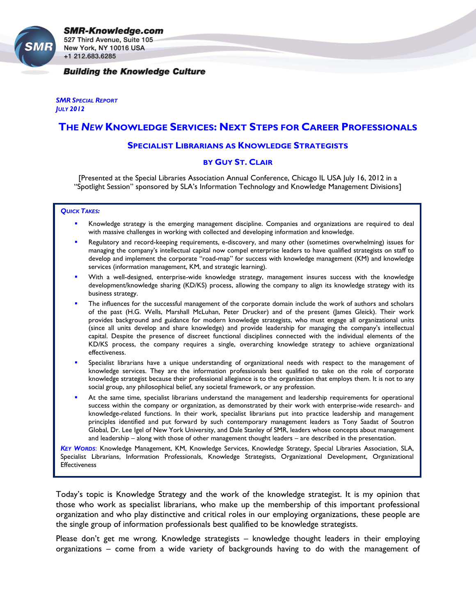New York, NY 10016 USA +1 212.683.6285

### **Building the Knowledge Culture**

*SMR SPECIAL REPORT JULY 2012*

# **THE** *NEW* **KNOWLEDGE SERVICES: NEXT STEPS FOR CAREER PROFESSIONALS**

### **SPECIALIST LIBRARIANS AS KNOWLEDGE STRATEGISTS**

## **BY GUY ST. CLAIR**

[Presented at the Special Libraries Association Annual Conference, Chicago IL USA July 16, 2012 in a "Spotlight Session" sponsored by SLA's Information Technology and Knowledge Management Divisions]

#### *QUICK TAKES:*

- Knowledge strategy is the emerging management discipline. Companies and organizations are required to deal with massive challenges in working with collected and developing information and knowledge.
- Regulatory and record-keeping requirements, e-discovery, and many other (sometimes overwhelming) issues for managing the company's intellectual capital now compel enterprise leaders to have qualified strategists on staff to develop and implement the corporate "road-map" for success with knowledge management (KM) and knowledge services (information management, KM, and strategic learning).
- With a well-designed, enterprise-wide knowledge strategy, management insures success with the knowledge development/knowledge sharing (KD/KS) process, allowing the company to align its knowledge strategy with its business strategy.
- The influences for the successful management of the corporate domain include the work of authors and scholars of the past (H.G. Wells, Marshall McLuhan, Peter Drucker) and of the present (James Gleick). Their work provides background and guidance for modern knowledge strategists, who must engage all organizational units (since all units develop and share knowledge) and provide leadership for managing the company's intellectual capital. Despite the presence of discreet functional disciplines connected with the individual elements of the KD/KS process, the company requires a single, overarching knowledge strategy to achieve organizational effectiveness.
- Specialist librarians have a unique understanding of organizational needs with respect to the management of knowledge services. They are the information professionals best qualified to take on the role of corporate knowledge strategist because their professional allegiance is to the organization that employs them. It is not to any social group, any philosophical belief, any societal framework, or any profession.
- At the same time, specialist librarians understand the management and leadership requirements for operational success within the company or organization, as demonstrated by their work with enterprise-wide research- and knowledge-related functions. In their work, specialist librarians put into practice leadership and management principles identified and put forward by such contemporary management leaders as Tony Saadat of Soutron Global, Dr. Lee Igel of New York University, and Dale Stanley of SMR, leaders whose concepts about management and leadership – along with those of other management thought leaders – are described in the presentation.

*KEY WORDS*: Knowledge Management, KM, Knowledge Services, Knowledge Strategy, Special Libraries Association, SLA, Specialist Librarians, Information Professionals, Knowledge Strategists, Organizational Development, Organizational **Effectiveness** 

Today's topic is Knowledge Strategy and the work of the knowledge strategist. It is my opinion that those who work as specialist librarians, who make up the membership of this important professional organization and who play distinctive and critical roles in our employing organizations, these people are the single group of information professionals best qualified to be knowledge strategists.

Please don't get me wrong. Knowledge strategists – knowledge thought leaders in their employing organizations – come from a wide variety of backgrounds having to do with the management of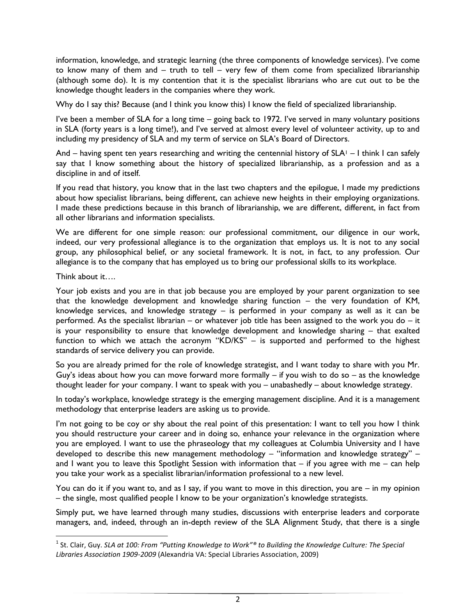information, knowledge, and strategic learning (the three components of knowledge services). I've come to know many of them and – truth to tell – very few of them come from specialized librarianship (although some do). It is my contention that it is the specialist librarians who are cut out to be the knowledge thought leaders in the companies where they work.

Why do I say this? Because (and I think you know this) I know the field of specialized librarianship.

I've been a member of SLA for a long time – going back to 1972. I've served in many voluntary positions in SLA (forty years is a long time!), and I've served at almost every level of volunteer activity, up to and including my presidency of SLA and my term of service on SLA's Board of Directors.

And – having spent ten years researching and writing the centennial history of  $SLA<sup>1</sup> - I$  think I can safely say that I know something about the history of specialized librarianship, as a profession and as a discipline in and of itself.

If you read that history, you know that in the last two chapters and the epilogue, I made my predictions about how specialist librarians, being different, can achieve new heights in their employing organizations. I made these predictions because in this branch of librarianship, we are different, different, in fact from all other librarians and information specialists.

We are different for one simple reason: our professional commitment, our diligence in our work, indeed, our very professional allegiance is to the organization that employs us. It is not to any social group, any philosophical belief, or any societal framework. It is not, in fact, to any profession. Our allegiance is to the company that has employed us to bring our professional skills to its workplace.

Think about it….

l

Your job exists and you are in that job because you are employed by your parent organization to see that the knowledge development and knowledge sharing function – the very foundation of KM, knowledge services, and knowledge strategy – is performed in your company as well as it can be performed. As the specialist librarian – or whatever job title has been assigned to the work you do – it is your responsibility to ensure that knowledge development and knowledge sharing – that exalted function to which we attach the acronym "KD/KS" – is supported and performed to the highest standards of service delivery you can provide.

So you are already primed for the role of knowledge strategist, and I want today to share with you Mr. Guy's ideas about how you can move forward more formally  $-$  if you wish to do so  $-$  as the knowledge thought leader for your company. I want to speak with you – unabashedly – about knowledge strategy.

In today's workplace, knowledge strategy is the emerging management discipline. And it is a management methodology that enterprise leaders are asking us to provide.

I'm not going to be coy or shy about the real point of this presentation: I want to tell you how I think you should restructure your career and in doing so, enhance your relevance in the organization where you are employed. I want to use the phraseology that my colleagues at Columbia University and I have developed to describe this new management methodology – "information and knowledge strategy" – and I want you to leave this Spotlight Session with information that – if you agree with me – can help you take your work as a specialist librarian/information professional to a new level.

You can do it if you want to, and as I say, if you want to move in this direction, you are – in my opinion – the single, most qualified people I know to be your organization's knowledge strategists.

Simply put, we have learned through many studies, discussions with enterprise leaders and corporate managers, and, indeed, through an in-depth review of the SLA Alignment Study, that there is a single

<sup>1</sup> St. Clair, Guy. *SLA at 100: From "Putting Knowledge to Work"® to Building the Knowledge Culture: The Special Libraries Association 1909-2009* (Alexandria VA: Special Libraries Association, 2009)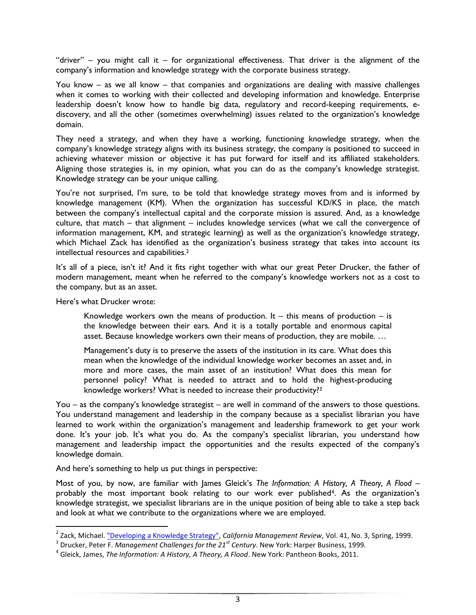"driver" – you might call it – for organizational effectiveness. That driver is the alignment of the company's information and knowledge strategy with the corporate business strategy.

You know – as we all know – that companies and organizations are dealing with massive challenges when it comes to working with their collected and developing information and knowledge. Enterprise leadership doesn't know how to handle big data, regulatory and record-keeping requirements, ediscovery, and all the other (sometimes overwhelming) issues related to the organization's knowledge domain.

They need a strategy, and when they have a working, functioning knowledge strategy, when the company's knowledge strategy aligns with its business strategy, the company is positioned to succeed in achieving whatever mission or objective it has put forward for itself and its affiliated stakeholders. Aligning those strategies is, in my opinion, what you can do as the company's knowledge strategist. Knowledge strategy can be your unique calling.

You're not surprised, I'm sure, to be told that knowledge strategy moves from and is informed by knowledge management (KM). When the organization has successful KD/KS in place, the match between the company's intellectual capital and the corporate mission is assured. And, as a knowledge culture, that match – that alignment – includes knowledge services (what we call the convergence of information management, KM, and strategic learning) as well as the organization's knowledge strategy, which Michael Zack has identified as the organization's business strategy that takes into account its intellectual resources and capabilities.<sup>2</sup>

It's all of a piece, isn't it? And it fits right together with what our great Peter Drucker, the father of modern management, meant when he referred to the company's knowledge workers not as a cost to the company, but as an asset.

Here's what Drucker wrote:

Knowledge workers own the means of production. It  $-$  this means of production  $-$  is the knowledge between their ears. And it is a totally portable and enormous capital asset. Because knowledge workers own their means of production, they are mobile. …

Management's duty is to preserve the assets of the institution in its care. What does this mean when the knowledge of the individual knowledge worker becomes an asset and, in more and more cases, the main asset of an institution? What does this mean for personnel policy? What is needed to attract and to hold the highest-producing knowledge workers? What is needed to increase their productivity?<sup>3</sup>

You – as the company's knowledge strategist – are well in command of the answers to those questions. You understand management and leadership in the company because as a specialist librarian you have learned to work within the organization's management and leadership framework to get your work done. It's your job. It's what you do. As the company's specialist librarian, you understand how management and leadership impact the opportunities and the results expected of the company's knowledge domain.

And here's something to help us put things in perspective:

Most of you, by now, are familiar with James Gleick's *The Information: A History, A Theory, A Flood* – probably the most important book relating to our work ever published4. As the organization's knowledge strategist, we specialist librarians are in the unique position of being able to take a step back and look at what we contribute to the organizations where we are employed.

 2 Zack, Michael[. "Developing a Knowledge Strategy",](http://web.cba.neu.edu/~mzack/articles/kstrat/kstrat.htm) *California Management Review*, Vol. 41, No. 3, Spring, 1999.

<sup>3</sup> Drucker, Peter F. *Management Challenges for the 21st Century*. New York: Harper Business, 1999.

<sup>4</sup> Gleick, James, *The Information: A History, A Theory, A Flood*. New York: Pantheon Books, 2011.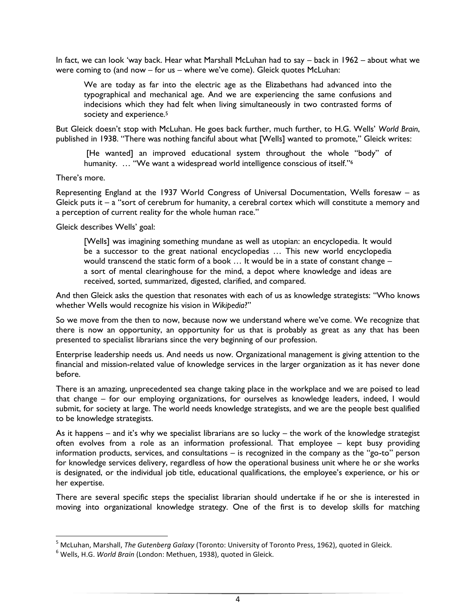In fact, we can look 'way back. Hear what Marshall McLuhan had to say – back in 1962 – about what we were coming to (and now – for us – where we've come). Gleick quotes McLuhan:

We are today as far into the electric age as the Elizabethans had advanced into the typographical and mechanical age. And we are experiencing the same confusions and indecisions which they had felt when living simultaneously in two contrasted forms of society and experience.<sup>5</sup>

But Gleick doesn't stop with McLuhan. He goes back further, much further, to H.G. Wells' *World Brain*, published in 1938. "There was nothing fanciful about what [Wells] wanted to promote," Gleick writes:

[He wanted] an improved educational system throughout the whole "body" of humanity. ... "We want a widespread world intelligence conscious of itself."<sup>6</sup>

There's more.

l

Representing England at the 1937 World Congress of Universal Documentation, Wells foresaw – as Gleick puts it – a "sort of cerebrum for humanity, a cerebral cortex which will constitute a memory and a perception of current reality for the whole human race."

Gleick describes Wells' goal:

[Wells] was imagining something mundane as well as utopian: an encyclopedia. It would be a successor to the great national encyclopedias … This new world encyclopedia would transcend the static form of a book … It would be in a state of constant change – a sort of mental clearinghouse for the mind, a depot where knowledge and ideas are received, sorted, summarized, digested, clarified, and compared.

And then Gleick asks the question that resonates with each of us as knowledge strategists: "Who knows whether Wells would recognize his vision in *Wikipedia*?"

So we move from the then to now, because now we understand where we've come. We recognize that there is now an opportunity, an opportunity for us that is probably as great as any that has been presented to specialist librarians since the very beginning of our profession.

Enterprise leadership needs us. And needs us now. Organizational management is giving attention to the financial and mission-related value of knowledge services in the larger organization as it has never done before.

There is an amazing, unprecedented sea change taking place in the workplace and we are poised to lead that change – for our employing organizations, for ourselves as knowledge leaders, indeed, I would submit, for society at large. The world needs knowledge strategists, and we are the people best qualified to be knowledge strategists.

As it happens – and it's why we specialist librarians are so lucky – the work of the knowledge strategist often evolves from a role as an information professional. That employee – kept busy providing information products, services, and consultations – is recognized in the company as the "go-to" person for knowledge services delivery, regardless of how the operational business unit where he or she works is designated, or the individual job title, educational qualifications, the employee's experience, or his or her expertise.

There are several specific steps the specialist librarian should undertake if he or she is interested in moving into organizational knowledge strategy. One of the first is to develop skills for matching

<sup>5</sup> McLuhan, Marshall, *The Gutenberg Galaxy* (Toronto: University of Toronto Press, 1962), quoted in Gleick.

<sup>6</sup> Wells, H.G. *World Brain* (London: Methuen, 1938), quoted in Gleick.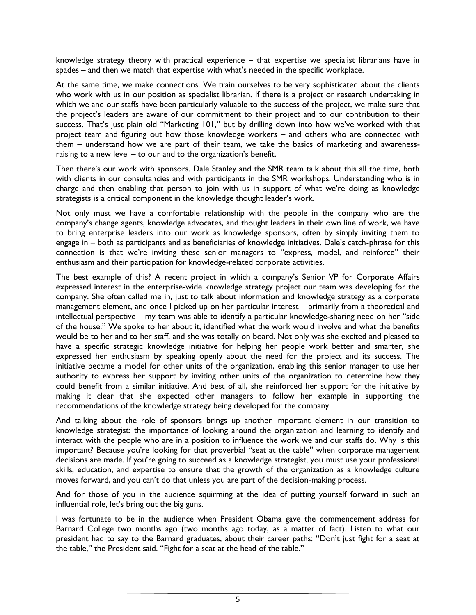knowledge strategy theory with practical experience – that expertise we specialist librarians have in spades – and then we match that expertise with what's needed in the specific workplace.

At the same time, we make connections. We train ourselves to be very sophisticated about the clients who work with us in our position as specialist librarian. If there is a project or research undertaking in which we and our staffs have been particularly valuable to the success of the project, we make sure that the project's leaders are aware of our commitment to their project and to our contribution to their success. That's just plain old "Marketing 101," but by drilling down into how we've worked with that project team and figuring out how those knowledge workers – and others who are connected with them – understand how we are part of their team, we take the basics of marketing and awarenessraising to a new level – to our and to the organization's benefit.

Then there's our work with sponsors. Dale Stanley and the SMR team talk about this all the time, both with clients in our consultancies and with participants in the SMR workshops. Understanding who is in charge and then enabling that person to join with us in support of what we're doing as knowledge strategists is a critical component in the knowledge thought leader's work.

Not only must we have a comfortable relationship with the people in the company who are the company's change agents, knowledge advocates, and thought leaders in their own line of work, we have to bring enterprise leaders into our work as knowledge sponsors, often by simply inviting them to engage in – both as participants and as beneficiaries of knowledge initiatives. Dale's catch-phrase for this connection is that we're inviting these senior managers to "express, model, and reinforce" their enthusiasm and their participation for knowledge-related corporate activities.

The best example of this? A recent project in which a company's Senior VP for Corporate Affairs expressed interest in the enterprise-wide knowledge strategy project our team was developing for the company. She often called me in, just to talk about information and knowledge strategy as a corporate management element, and once I picked up on her particular interest – primarily from a theoretical and intellectual perspective – my team was able to identify a particular knowledge-sharing need on her "side of the house." We spoke to her about it, identified what the work would involve and what the benefits would be to her and to her staff, and she was totally on board. Not only was she excited and pleased to have a specific strategic knowledge initiative for helping her people work better and smarter, she expressed her enthusiasm by speaking openly about the need for the project and its success. The initiative became a model for other units of the organization, enabling this senior manager to use her authority to express her support by inviting other units of the organization to determine how they could benefit from a similar initiative. And best of all, she reinforced her support for the initiative by making it clear that she expected other managers to follow her example in supporting the recommendations of the knowledge strategy being developed for the company.

And talking about the role of sponsors brings up another important element in our transition to knowledge strategist: the importance of looking around the organization and learning to identify and interact with the people who are in a position to influence the work we and our staffs do. Why is this important? Because you're looking for that proverbial "seat at the table" when corporate management decisions are made. If you're going to succeed as a knowledge strategist, you must use your professional skills, education, and expertise to ensure that the growth of the organization as a knowledge culture moves forward, and you can't do that unless you are part of the decision-making process.

And for those of you in the audience squirming at the idea of putting yourself forward in such an influential role, let's bring out the big guns.

I was fortunate to be in the audience when President Obama gave the commencement address for Barnard College two months ago (two months ago today, as a matter of fact). Listen to what our president had to say to the Barnard graduates, about their career paths: "Don't just fight for a seat at the table," the President said. "Fight for a seat at the head of the table."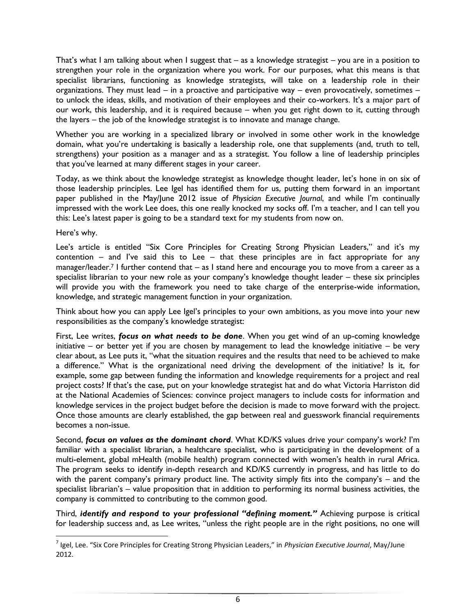That's what I am talking about when I suggest that – as a knowledge strategist – you are in a position to strengthen your role in the organization where you work. For our purposes, what this means is that specialist librarians, functioning as knowledge strategists, will take on a leadership role in their organizations. They must lead – in a proactive and participative way – even provocatively, sometimes – to unlock the ideas, skills, and motivation of their employees and their co-workers. It's a major part of our work, this leadership, and it is required because – when you get right down to it, cutting through the layers – the job of the knowledge strategist is to innovate and manage change.

Whether you are working in a specialized library or involved in some other work in the knowledge domain, what you're undertaking is basically a leadership role, one that supplements (and, truth to tell, strengthens) your position as a manager and as a strategist. You follow a line of leadership principles that you've learned at many different stages in your career.

Today, as we think about the knowledge strategist as knowledge thought leader, let's hone in on six of those leadership principles. Lee Igel has identified them for us, putting them forward in an important paper published in the May/June 2012 issue of *Physician Executive Journal*, and while I'm continually impressed with the work Lee does, this one really knocked my socks off. I'm a teacher, and I can tell you this: Lee's latest paper is going to be a standard text for my students from now on.

Here's why.

l

Lee's article is entitled "Six Core Principles for Creating Strong Physician Leaders," and it's my contention – and I've said this to Lee – that these principles are in fact appropriate for any manager/leader.<sup>7</sup> I further contend that – as I stand here and encourage you to move from a career as a specialist librarian to your new role as your company's knowledge thought leader – these six principles will provide you with the framework you need to take charge of the enterprise-wide information, knowledge, and strategic management function in your organization.

Think about how you can apply Lee Igel's principles to your own ambitions, as you move into your new responsibilities as the company's knowledge strategist:

First, Lee writes, *focus on what needs to be done*. When you get wind of an up-coming knowledge initiative – or better yet if you are chosen by management to lead the knowledge initiative – be very clear about, as Lee puts it, "what the situation requires and the results that need to be achieved to make a difference." What is the organizational need driving the development of the initiative? Is it, for example, some gap between funding the information and knowledge requirements for a project and real project costs? If that's the case, put on your knowledge strategist hat and do what Victoria Harriston did at the National Academies of Sciences: convince project managers to include costs for information and knowledge services in the project budget before the decision is made to move forward with the project. Once those amounts are clearly established, the gap between real and guesswork financial requirements becomes a non-issue.

Second, *focus on values as the dominant chord*. What KD/KS values drive your company's work? I'm familiar with a specialist librarian, a healthcare specialist, who is participating in the development of a multi-element, global mHealth (mobile health) program connected with women's health in rural Africa. The program seeks to identify in-depth research and KD/KS currently in progress, and has little to do with the parent company's primary product line. The activity simply fits into the company's – and the specialist librarian's – value proposition that in addition to performing its normal business activities, the company is committed to contributing to the common good.

Third, *identify and respond to your professional "defining moment."* Achieving purpose is critical for leadership success and, as Lee writes, "unless the right people are in the right positions, no one will

<sup>7</sup> Igel, Lee. "Six Core Principles for Creating Strong Physician Leaders," in *Physician Executive Journal*, May/June 2012.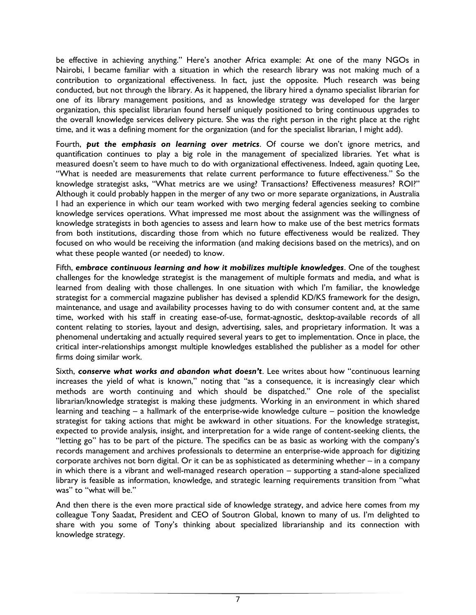be effective in achieving anything." Here's another Africa example: At one of the many NGOs in Nairobi, I became familiar with a situation in which the research library was not making much of a contribution to organizational effectiveness. In fact, just the opposite. Much research was being conducted, but not through the library. As it happened, the library hired a dynamo specialist librarian for one of its library management positions, and as knowledge strategy was developed for the larger organization, this specialist librarian found herself uniquely positioned to bring continuous upgrades to the overall knowledge services delivery picture. She was the right person in the right place at the right time, and it was a defining moment for the organization (and for the specialist librarian, I might add).

Fourth, *put the emphasis on learning over metrics*. Of course we don't ignore metrics, and quantification continues to play a big role in the management of specialized libraries. Yet what is measured doesn't seem to have much to do with organizational effectiveness. Indeed, again quoting Lee, "What is needed are measurements that relate current performance to future effectiveness." So the knowledge strategist asks, "What metrics are we using? Transactions? Effectiveness measures? ROI?" Although it could probably happen in the merger of any two or more separate organizations, in Australia I had an experience in which our team worked with two merging federal agencies seeking to combine knowledge services operations. What impressed me most about the assignment was the willingness of knowledge strategists in both agencies to assess and learn how to make use of the best metrics formats from both institutions, discarding those from which no future effectiveness would be realized. They focused on who would be receiving the information (and making decisions based on the metrics), and on what these people wanted (or needed) to know.

Fifth, *embrace continuous learning and how it mobilizes multiple knowledges*. One of the toughest challenges for the knowledge strategist is the management of multiple formats and media, and what is learned from dealing with those challenges. In one situation with which I'm familiar, the knowledge strategist for a commercial magazine publisher has devised a splendid KD/KS framework for the design, maintenance, and usage and availability processes having to do with consumer content and, at the same time, worked with his staff in creating ease-of-use, format-agnostic, desktop-available records of all content relating to stories, layout and design, advertising, sales, and proprietary information. It was a phenomenal undertaking and actually required several years to get to implementation. Once in place, the critical inter-relationships amongst multiple knowledges established the publisher as a model for other firms doing similar work.

Sixth, *conserve what works and abandon what doesn't*. Lee writes about how "continuous learning increases the yield of what is known," noting that "as a consequence, it is increasingly clear which methods are worth continuing and which should be dispatched." One role of the specialist librarian/knowledge strategist is making these judgments. Working in an environment in which shared learning and teaching – a hallmark of the enterprise-wide knowledge culture – position the knowledge strategist for taking actions that might be awkward in other situations. For the knowledge strategist, expected to provide analysis, insight, and interpretation for a wide range of content-seeking clients, the "letting go" has to be part of the picture. The specifics can be as basic as working with the company's records management and archives professionals to determine an enterprise-wide approach for digitizing corporate archives not born digital. Or it can be as sophisticated as determining whether – in a company in which there is a vibrant and well-managed research operation – supporting a stand-alone specialized library is feasible as information, knowledge, and strategic learning requirements transition from "what was" to "what will be."

And then there is the even more practical side of knowledge strategy, and advice here comes from my colleague Tony Saadat, President and CEO of Soutron Global, known to many of us. I'm delighted to share with you some of Tony's thinking about specialized librarianship and its connection with knowledge strategy.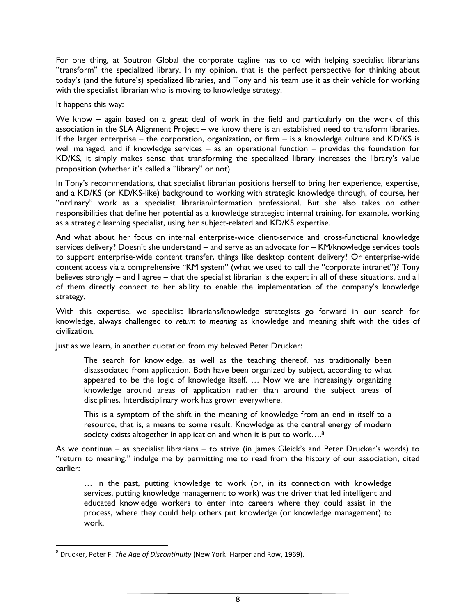For one thing, at Soutron Global the corporate tagline has to do with helping specialist librarians "transform" the specialized library. In my opinion, that is the perfect perspective for thinking about today's (and the future's) specialized libraries, and Tony and his team use it as their vehicle for working with the specialist librarian who is moving to knowledge strategy.

It happens this way:

We know – again based on a great deal of work in the field and particularly on the work of this association in the SLA Alignment Project – we know there is an established need to transform libraries. If the larger enterprise – the corporation, organization, or firm – is a knowledge culture and KD/KS is well managed, and if knowledge services – as an operational function – provides the foundation for KD/KS, it simply makes sense that transforming the specialized library increases the library's value proposition (whether it's called a "library" or not).

In Tony's recommendations, that specialist librarian positions herself to bring her experience, expertise, and a KD/KS (or KD/KS-like) background to working with strategic knowledge through, of course, her "ordinary" work as a specialist librarian/information professional. But she also takes on other responsibilities that define her potential as a knowledge strategist: internal training, for example, working as a strategic learning specialist, using her subject-related and KD/KS expertise.

And what about her focus on internal enterprise-wide client-service and cross-functional knowledge services delivery? Doesn't she understand – and serve as an advocate for – KM/knowledge services tools to support enterprise-wide content transfer, things like desktop content delivery? Or enterprise-wide content access via a comprehensive "KM system" (what we used to call the "corporate intranet")? Tony believes strongly – and I agree – that the specialist librarian is the expert in all of these situations, and all of them directly connect to her ability to enable the implementation of the company's knowledge strategy.

With this expertise, we specialist librarians/knowledge strategists go forward in our search for knowledge, always challenged to *return to meaning* as knowledge and meaning shift with the tides of civilization.

Just as we learn, in another quotation from my beloved Peter Drucker:

The search for knowledge, as well as the teaching thereof, has traditionally been disassociated from application. Both have been organized by subject, according to what appeared to be the logic of knowledge itself. … Now we are increasingly organizing knowledge around areas of application rather than around the subject areas of disciplines. Interdisciplinary work has grown everywhere.

This is a symptom of the shift in the meaning of knowledge from an end in itself to a resource, that is, a means to some result. Knowledge as the central energy of modern society exists altogether in application and when it is put to work....<sup>8</sup>

As we continue – as specialist librarians – to strive (in James Gleick's and Peter Drucker's words) to "return to meaning," indulge me by permitting me to read from the history of our association, cited earlier:

… in the past, putting knowledge to work (or, in its connection with knowledge services, putting knowledge management to work) was the driver that led intelligent and educated knowledge workers to enter into careers where they could assist in the process, where they could help others put knowledge (or knowledge management) to work.

 $\overline{\phantom{a}}$ 8 Drucker, Peter F. *The Age of Discontinuity* (New York: Harper and Row, 1969).